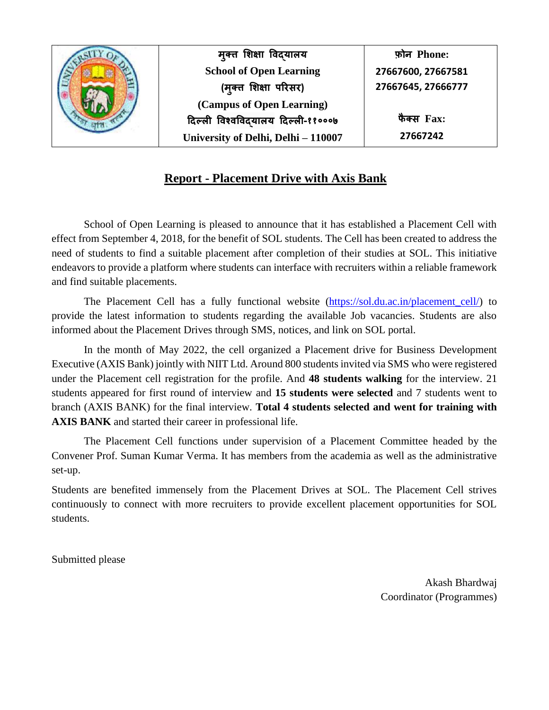

## **Report - Placement Drive with Axis Bank**

School of Open Learning is pleased to announce that it has established a Placement Cell with effect from September 4, 2018, for the benefit of SOL students. The Cell has been created to address the need of students to find a suitable placement after completion of their studies at SOL. This initiative endeavors to provide a platform where students can interface with recruiters within a reliable framework and find suitable placements.

The Placement Cell has a fully functional website [\(https://sol.du.ac.in/placement\\_cell/\)](https://sol.du.ac.in/placement_cell/) to provide the latest information to students regarding the available Job vacancies. Students are also informed about the Placement Drives through SMS, notices, and link on SOL portal.

In the month of May 2022, the cell organized a Placement drive for Business Development Executive (AXIS Bank) jointly with NIIT Ltd. Around 800 students invited via SMS who were registered under the Placement cell registration for the profile. And **48 students walking** for the interview. 21 students appeared for first round of interview and **15 students were selected** and 7 students went to branch (AXIS BANK) for the final interview. **Total 4 students selected and went for training with AXIS BANK** and started their career in professional life.

The Placement Cell functions under supervision of a Placement Committee headed by the Convener Prof. Suman Kumar Verma. It has members from the academia as well as the administrative set-up.

Students are benefited immensely from the Placement Drives at SOL. The Placement Cell strives continuously to connect with more recruiters to provide excellent placement opportunities for SOL students.

Submitted please

Akash Bhardwaj Coordinator (Programmes)